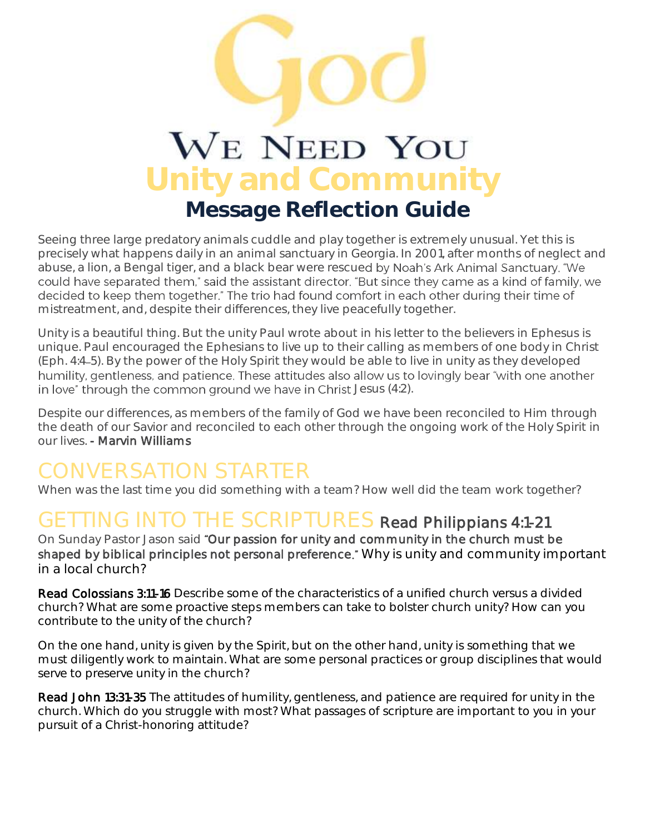# WE NEED YOU **Unity and Community Message Reflection Guide**

Seeing three large predatory animals cuddle and play together is extremely unusual. Yet this is precisely what happens daily in an animal sanctuary in Georgia. In 2001, after months of neglect and abuse, a lion, a Bengal tiger, and a black bear were rescued by Noah's Ark Animal Sanctuary. "We could have separated them," said the assistant director. "But since they came as a kind of family, we decided to keep them together." The trio had found comfort in each other during their time of mistreatment, and, despite their differences, they live peacefully together.

Unity is a beautiful thing. But the unity Paul wrote about in his letter to the believers in Ephesus is unique. Paul encouraged the Ephesians to live up to their calling as members of one body in Christ (Eph. 4:4 5). By the power of the Holy Spirit they would be able to live in unity as they developed humility, gentleness, and patience. These attitudes also allow us to lovingly bear "with one another in love" through the common ground we have in Christ Jesus (4:2).

Despite our differences, as members of the family of God we have been reconciled to Him through the death of our Savior and reconciled to each other through the ongoing work of the Holy Spirit in our lives. - Marvin Williams

## CONVERSATION STARTER

When was the last time you did something with a team? How well did the team work together?

### GETTING INTO THE SCRIPTURES Read Philippians 4:1-21

On Sunday Pastor Jason said "Our passion for unity and community in the church must be shaped by biblical principles not personal preference." Why is unity and community important in a local church?

Read Colossians 3:11-16 Describe some of the characteristics of a unified church versus a divided church? What are some proactive steps members can take to bolster church unity? How can you contribute to the unity of the church?

On the one hand, unity is given by the Spirit, but on the other hand, unity is something that we must diligently work to maintain. What are some personal practices or group disciplines that would serve to preserve unity in the church?

Read John 13:31-35 The attitudes of humility, gentleness, and patience are required for unity in the church. Which do you struggle with most? What passages of scripture are important to you in your pursuit of a Christ-honoring attitude?